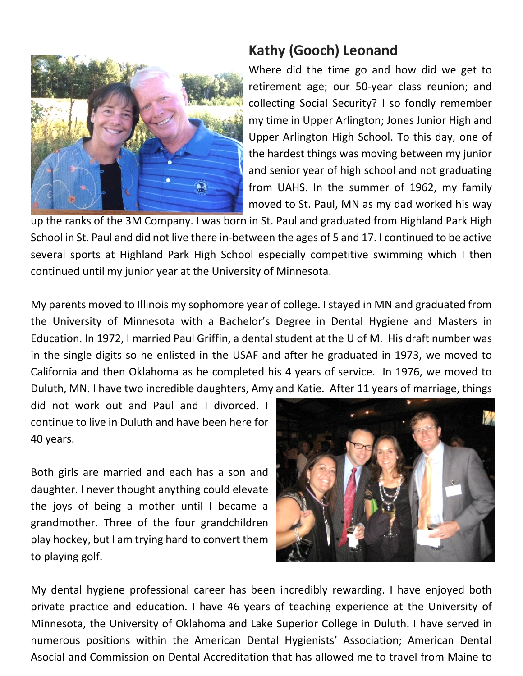

## **Kathy (Gooch) Leonand**

Where did the time go and how did we get to retirement age; our 50-year class reunion; and collecting Social Security? I so fondly remember my time in Upper Arlington; Jones Junior High and Upper Arlington High School. To this day, one of the hardest things was moving between my junior and senior year of high school and not graduating from UAHS. In the summer of 1962, my family moved to St. Paul, MN as my dad worked his way

up the ranks of the 3M Company. I was born in St. Paul and graduated from Highland Park High School in St. Paul and did not live there in-between the ages of 5 and 17. I continued to be active several sports at Highland Park High School especially competitive swimming which I then continued until my junior year at the University of Minnesota.

My parents moved to Illinois my sophomore year of college. I stayed in MN and graduated from the University of Minnesota with a Bachelor's Degree in Dental Hygiene and Masters in Education. In 1972, I married Paul Griffin, a dental student at the U of M. His draft number was in the single digits so he enlisted in the USAF and after he graduated in 1973, we moved to California and then Oklahoma as he completed his 4 years of service. In 1976, we moved to Duluth, MN. I have two incredible daughters, Amy and Katie. After 11 years of marriage, things

did not work out and Paul and I divorced. I continue to live in Duluth and have been here for 40 years.

Both girls are married and each has a son and daughter. I never thought anything could elevate the joys of being a mother until I became a grandmother. Three of the four grandchildren play hockey, but I am trying hard to convert them to playing golf.



My dental hygiene professional career has been incredibly rewarding. I have enjoyed both private practice and education. I have 46 years of teaching experience at the University of Minnesota, the University of Oklahoma and Lake Superior College in Duluth. I have served in numerous positions within the American Dental Hygienists' Association; American Dental Asocial and Commission on Dental Accreditation that has allowed me to travel from Maine to